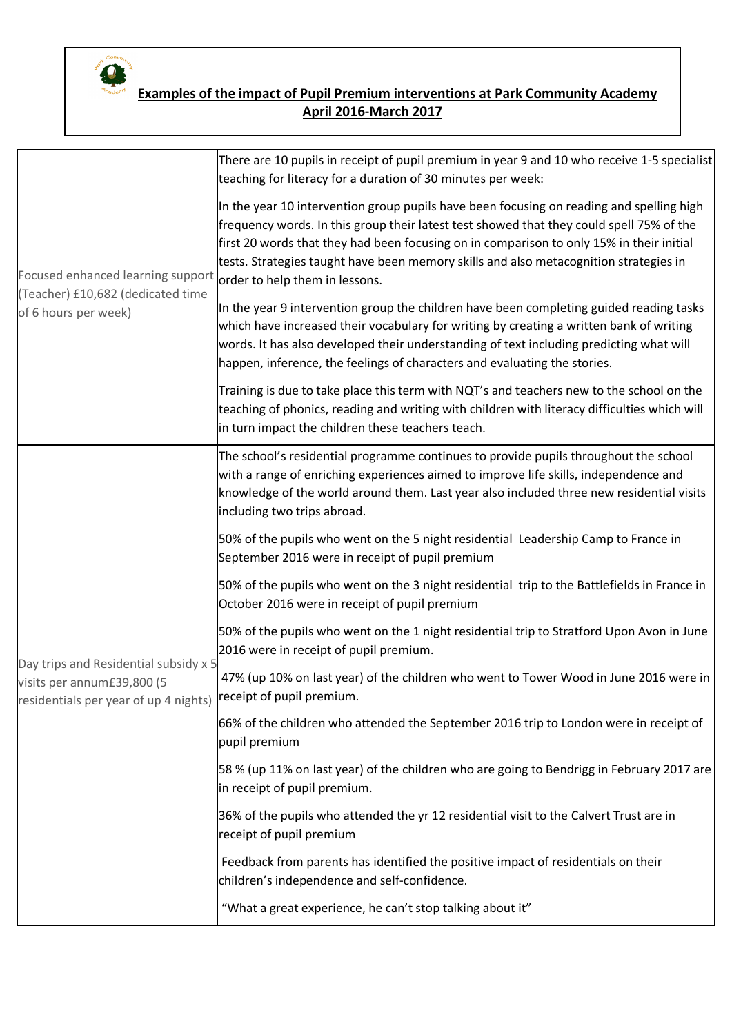

## **Examples of the impact of Pupil Premium interventions at Park Community Academy April 2016-March 2017**

| Focused enhanced learning support<br>(Teacher) £10,682 (dedicated time<br>of 6 hours per week)<br>Day trips and Residential subsidy x 5<br>visits per annum£39,800 (5<br>residentials per year of up 4 nights) | There are 10 pupils in receipt of pupil premium in year 9 and 10 who receive 1-5 specialist<br>teaching for literacy for a duration of 30 minutes per week:                                                                                                                                                                                                                                                 |
|----------------------------------------------------------------------------------------------------------------------------------------------------------------------------------------------------------------|-------------------------------------------------------------------------------------------------------------------------------------------------------------------------------------------------------------------------------------------------------------------------------------------------------------------------------------------------------------------------------------------------------------|
|                                                                                                                                                                                                                | In the year 10 intervention group pupils have been focusing on reading and spelling high<br>frequency words. In this group their latest test showed that they could spell 75% of the<br>first 20 words that they had been focusing on in comparison to only 15% in their initial<br>tests. Strategies taught have been memory skills and also metacognition strategies in<br>order to help them in lessons. |
|                                                                                                                                                                                                                | In the year 9 intervention group the children have been completing guided reading tasks<br>which have increased their vocabulary for writing by creating a written bank of writing<br>words. It has also developed their understanding of text including predicting what will<br>happen, inference, the feelings of characters and evaluating the stories.                                                  |
|                                                                                                                                                                                                                | Training is due to take place this term with NQT's and teachers new to the school on the<br>teaching of phonics, reading and writing with children with literacy difficulties which will<br>in turn impact the children these teachers teach.                                                                                                                                                               |
|                                                                                                                                                                                                                | The school's residential programme continues to provide pupils throughout the school<br>with a range of enriching experiences aimed to improve life skills, independence and<br>knowledge of the world around them. Last year also included three new residential visits<br>including two trips abroad.                                                                                                     |
|                                                                                                                                                                                                                | 50% of the pupils who went on the 5 night residential Leadership Camp to France in<br>September 2016 were in receipt of pupil premium                                                                                                                                                                                                                                                                       |
|                                                                                                                                                                                                                | 50% of the pupils who went on the 3 night residential trip to the Battlefields in France in<br>October 2016 were in receipt of pupil premium                                                                                                                                                                                                                                                                |
|                                                                                                                                                                                                                | 50% of the pupils who went on the 1 night residential trip to Stratford Upon Avon in June<br>2016 were in receipt of pupil premium.                                                                                                                                                                                                                                                                         |
|                                                                                                                                                                                                                | 47% (up 10% on last year) of the children who went to Tower Wood in June 2016 were in<br>receipt of pupil premium.                                                                                                                                                                                                                                                                                          |
|                                                                                                                                                                                                                | 66% of the children who attended the September 2016 trip to London were in receipt of<br>pupil premium                                                                                                                                                                                                                                                                                                      |
|                                                                                                                                                                                                                | 58 % (up 11% on last year) of the children who are going to Bendrigg in February 2017 are<br>in receipt of pupil premium.                                                                                                                                                                                                                                                                                   |
|                                                                                                                                                                                                                | 36% of the pupils who attended the yr 12 residential visit to the Calvert Trust are in<br>receipt of pupil premium                                                                                                                                                                                                                                                                                          |
|                                                                                                                                                                                                                | Feedback from parents has identified the positive impact of residentials on their<br>children's independence and self-confidence.                                                                                                                                                                                                                                                                           |
|                                                                                                                                                                                                                | "What a great experience, he can't stop talking about it"                                                                                                                                                                                                                                                                                                                                                   |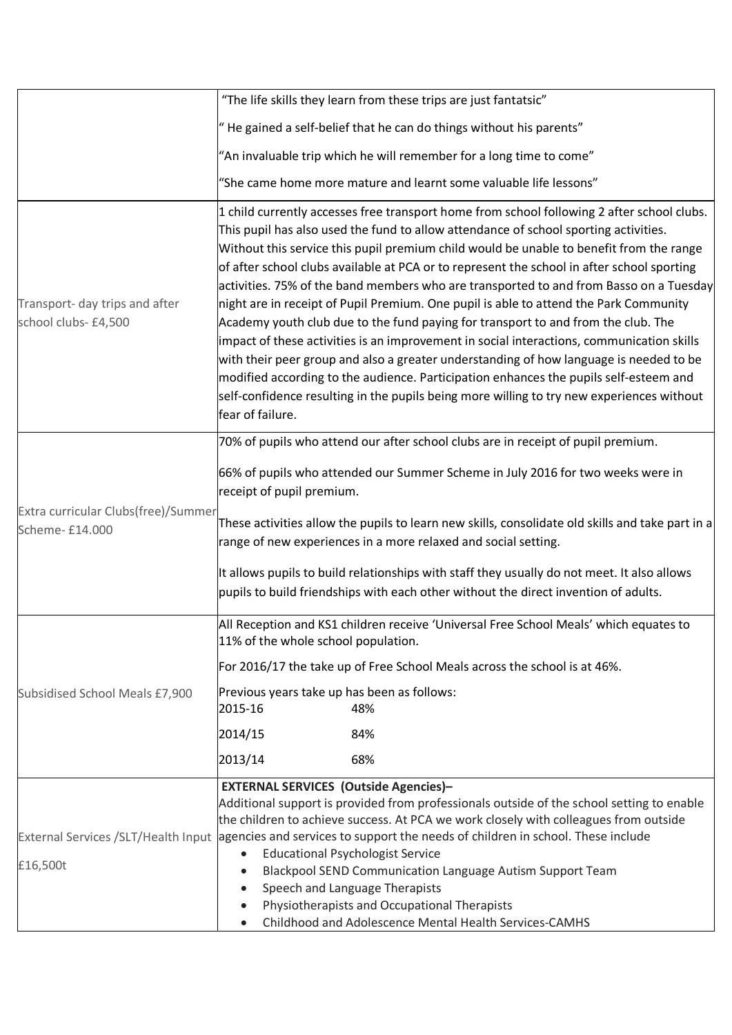|                                                                                          | "The life skills they learn from these trips are just fantatsic"                                                                                                                                                                                                                                                                                                                                                                                                                                                                                                                                                                                                                                                                                                                                                                                                                                                                                                                                                                                     |
|------------------------------------------------------------------------------------------|------------------------------------------------------------------------------------------------------------------------------------------------------------------------------------------------------------------------------------------------------------------------------------------------------------------------------------------------------------------------------------------------------------------------------------------------------------------------------------------------------------------------------------------------------------------------------------------------------------------------------------------------------------------------------------------------------------------------------------------------------------------------------------------------------------------------------------------------------------------------------------------------------------------------------------------------------------------------------------------------------------------------------------------------------|
|                                                                                          | "He gained a self-belief that he can do things without his parents"                                                                                                                                                                                                                                                                                                                                                                                                                                                                                                                                                                                                                                                                                                                                                                                                                                                                                                                                                                                  |
|                                                                                          | "An invaluable trip which he will remember for a long time to come"                                                                                                                                                                                                                                                                                                                                                                                                                                                                                                                                                                                                                                                                                                                                                                                                                                                                                                                                                                                  |
|                                                                                          | "She came home more mature and learnt some valuable life lessons"                                                                                                                                                                                                                                                                                                                                                                                                                                                                                                                                                                                                                                                                                                                                                                                                                                                                                                                                                                                    |
| Transport- day trips and after<br>school clubs- £4,500                                   | 1 child currently accesses free transport home from school following 2 after school clubs.<br>This pupil has also used the fund to allow attendance of school sporting activities.<br>Without this service this pupil premium child would be unable to benefit from the range<br>of after school clubs available at PCA or to represent the school in after school sporting<br>activities. 75% of the band members who are transported to and from Basso on a Tuesday<br>night are in receipt of Pupil Premium. One pupil is able to attend the Park Community<br>Academy youth club due to the fund paying for transport to and from the club. The<br>impact of these activities is an improvement in social interactions, communication skills<br>with their peer group and also a greater understanding of how language is needed to be<br>modified according to the audience. Participation enhances the pupils self-esteem and<br>self-confidence resulting in the pupils being more willing to try new experiences without<br>fear of failure. |
|                                                                                          | 70% of pupils who attend our after school clubs are in receipt of pupil premium.                                                                                                                                                                                                                                                                                                                                                                                                                                                                                                                                                                                                                                                                                                                                                                                                                                                                                                                                                                     |
| Extra curricular Clubs(free)/Summer<br>Scheme- £14.000<br>Subsidised School Meals £7,900 | 66% of pupils who attended our Summer Scheme in July 2016 for two weeks were in<br>receipt of pupil premium.                                                                                                                                                                                                                                                                                                                                                                                                                                                                                                                                                                                                                                                                                                                                                                                                                                                                                                                                         |
|                                                                                          | These activities allow the pupils to learn new skills, consolidate old skills and take part in a<br>range of new experiences in a more relaxed and social setting.                                                                                                                                                                                                                                                                                                                                                                                                                                                                                                                                                                                                                                                                                                                                                                                                                                                                                   |
|                                                                                          | It allows pupils to build relationships with staff they usually do not meet. It also allows<br>pupils to build friendships with each other without the direct invention of adults.                                                                                                                                                                                                                                                                                                                                                                                                                                                                                                                                                                                                                                                                                                                                                                                                                                                                   |
|                                                                                          | All Reception and KS1 children receive 'Universal Free School Meals' which equates to<br>11% of the whole school population.                                                                                                                                                                                                                                                                                                                                                                                                                                                                                                                                                                                                                                                                                                                                                                                                                                                                                                                         |
|                                                                                          | For 2016/17 the take up of Free School Meals across the school is at 46%.                                                                                                                                                                                                                                                                                                                                                                                                                                                                                                                                                                                                                                                                                                                                                                                                                                                                                                                                                                            |
|                                                                                          | Previous years take up has been as follows:<br>2015-16<br>48%                                                                                                                                                                                                                                                                                                                                                                                                                                                                                                                                                                                                                                                                                                                                                                                                                                                                                                                                                                                        |
|                                                                                          | 2014/15<br>84%                                                                                                                                                                                                                                                                                                                                                                                                                                                                                                                                                                                                                                                                                                                                                                                                                                                                                                                                                                                                                                       |
|                                                                                          | 2013/14<br>68%                                                                                                                                                                                                                                                                                                                                                                                                                                                                                                                                                                                                                                                                                                                                                                                                                                                                                                                                                                                                                                       |
| £16,500t                                                                                 | <b>EXTERNAL SERVICES (Outside Agencies)-</b><br>Additional support is provided from professionals outside of the school setting to enable<br>the children to achieve success. At PCA we work closely with colleagues from outside<br>External Services /SLT/Health Input agencies and services to support the needs of children in school. These include<br><b>Educational Psychologist Service</b><br>Blackpool SEND Communication Language Autism Support Team<br>Speech and Language Therapists<br>Physiotherapists and Occupational Therapists                                                                                                                                                                                                                                                                                                                                                                                                                                                                                                   |
|                                                                                          | Childhood and Adolescence Mental Health Services-CAMHS                                                                                                                                                                                                                                                                                                                                                                                                                                                                                                                                                                                                                                                                                                                                                                                                                                                                                                                                                                                               |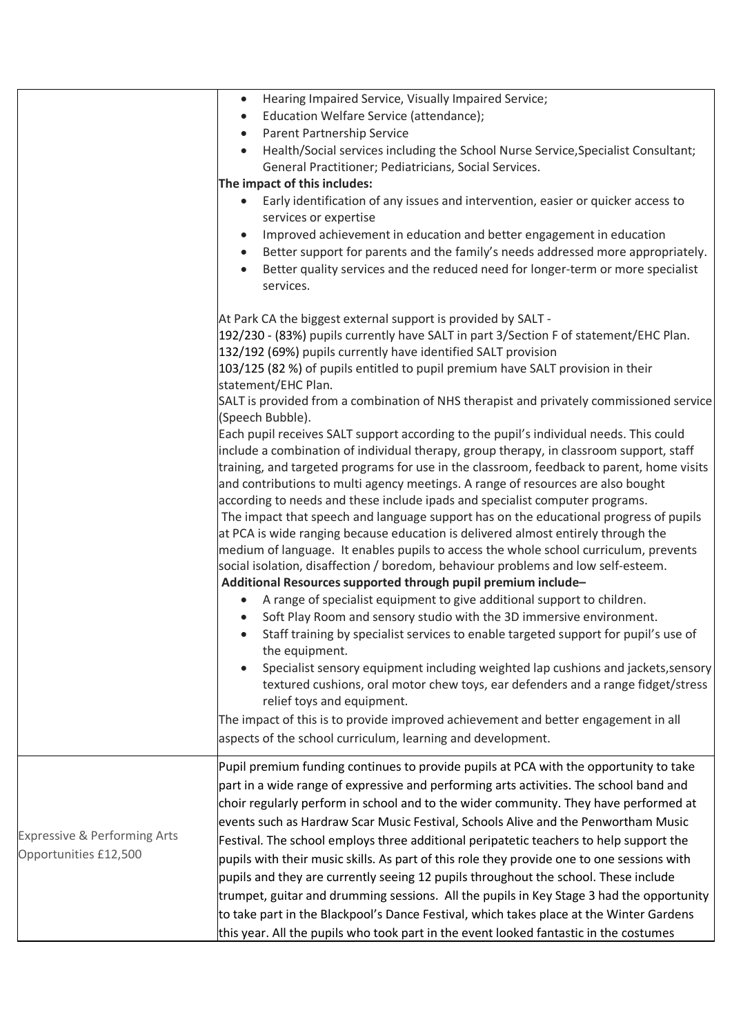|                                                                  | Hearing Impaired Service, Visually Impaired Service;<br>$\bullet$<br>Education Welfare Service (attendance);<br>$\bullet$<br>Parent Partnership Service<br>$\bullet$<br>Health/Social services including the School Nurse Service, Specialist Consultant;<br>$\bullet$<br>General Practitioner; Pediatricians, Social Services.<br>The impact of this includes:<br>Early identification of any issues and intervention, easier or quicker access to<br>$\bullet$<br>services or expertise<br>Improved achievement in education and better engagement in education<br>$\bullet$<br>Better support for parents and the family's needs addressed more appropriately.<br>$\bullet$<br>Better quality services and the reduced need for longer-term or more specialist<br>$\bullet$<br>services.                                                                                                                                  |
|------------------------------------------------------------------|------------------------------------------------------------------------------------------------------------------------------------------------------------------------------------------------------------------------------------------------------------------------------------------------------------------------------------------------------------------------------------------------------------------------------------------------------------------------------------------------------------------------------------------------------------------------------------------------------------------------------------------------------------------------------------------------------------------------------------------------------------------------------------------------------------------------------------------------------------------------------------------------------------------------------|
|                                                                  | At Park CA the biggest external support is provided by SALT -<br>192/230 - (83%) pupils currently have SALT in part 3/Section F of statement/EHC Plan.<br>132/192 (69%) pupils currently have identified SALT provision<br>103/125 (82 %) of pupils entitled to pupil premium have SALT provision in their<br>statement/EHC Plan.<br>SALT is provided from a combination of NHS therapist and privately commissioned service<br>(Speech Bubble).<br>Each pupil receives SALT support according to the pupil's individual needs. This could                                                                                                                                                                                                                                                                                                                                                                                   |
|                                                                  | include a combination of individual therapy, group therapy, in classroom support, staff<br>training, and targeted programs for use in the classroom, feedback to parent, home visits<br>and contributions to multi agency meetings. A range of resources are also bought<br>according to needs and these include ipads and specialist computer programs.<br>The impact that speech and language support has on the educational progress of pupils<br>at PCA is wide ranging because education is delivered almost entirely through the<br>medium of language. It enables pupils to access the whole school curriculum, prevents<br>social isolation, disaffection / boredom, behaviour problems and low self-esteem.<br>Additional Resources supported through pupil premium include-                                                                                                                                        |
|                                                                  | A range of specialist equipment to give additional support to children.<br>$\bullet$<br>Soft Play Room and sensory studio with the 3D immersive environment.<br>Staff training by specialist services to enable targeted support for pupil's use of<br>the equipment.<br>Specialist sensory equipment including weighted lap cushions and jackets, sensory<br>textured cushions, oral motor chew toys, ear defenders and a range fidget/stress<br>relief toys and equipment.<br>The impact of this is to provide improved achievement and better engagement in all<br>aspects of the school curriculum, learning and development.                                                                                                                                                                                                                                                                                            |
| <b>Expressive &amp; Performing Arts</b><br>Opportunities £12,500 | Pupil premium funding continues to provide pupils at PCA with the opportunity to take<br>part in a wide range of expressive and performing arts activities. The school band and<br>choir regularly perform in school and to the wider community. They have performed at<br>events such as Hardraw Scar Music Festival, Schools Alive and the Penwortham Music<br>Festival. The school employs three additional peripatetic teachers to help support the<br>pupils with their music skills. As part of this role they provide one to one sessions with<br>pupils and they are currently seeing 12 pupils throughout the school. These include<br>trumpet, guitar and drumming sessions. All the pupils in Key Stage 3 had the opportunity<br>to take part in the Blackpool's Dance Festival, which takes place at the Winter Gardens<br>this year. All the pupils who took part in the event looked fantastic in the costumes |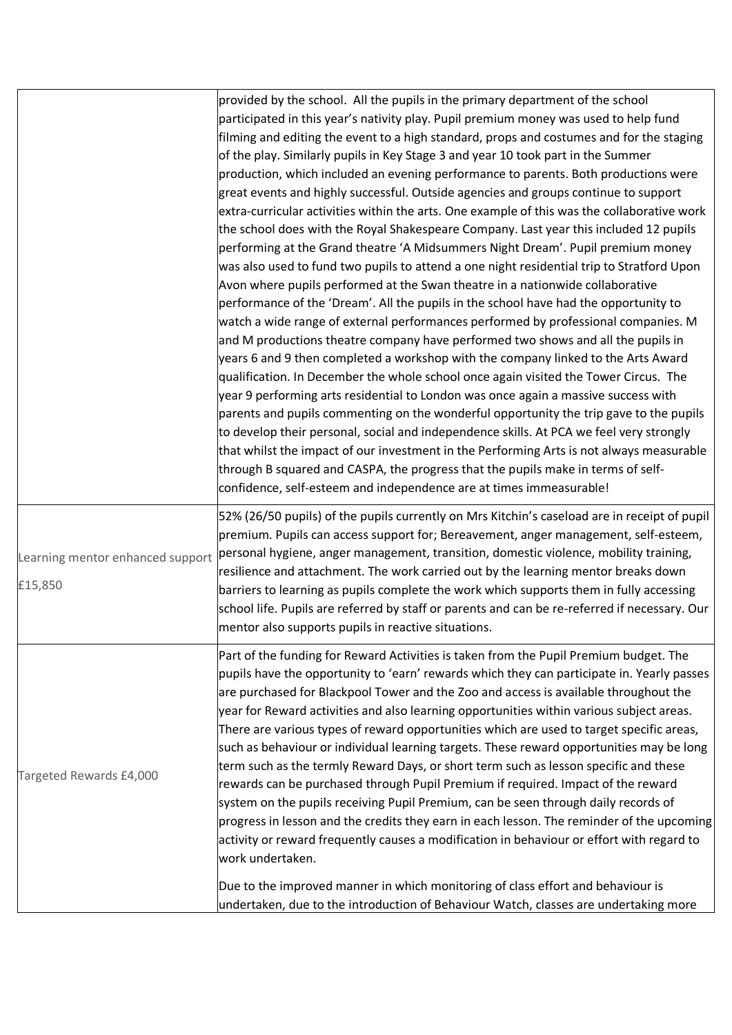|                                             | provided by the school. All the pupils in the primary department of the school<br>participated in this year's nativity play. Pupil premium money was used to help fund<br>filming and editing the event to a high standard, props and costumes and for the staging<br>of the play. Similarly pupils in Key Stage 3 and year 10 took part in the Summer<br>production, which included an evening performance to parents. Both productions were<br>great events and highly successful. Outside agencies and groups continue to support<br>extra-curricular activities within the arts. One example of this was the collaborative work<br>the school does with the Royal Shakespeare Company. Last year this included 12 pupils<br>performing at the Grand theatre 'A Midsummers Night Dream'. Pupil premium money<br>was also used to fund two pupils to attend a one night residential trip to Stratford Upon<br>Avon where pupils performed at the Swan theatre in a nationwide collaborative<br>performance of the 'Dream'. All the pupils in the school have had the opportunity to<br>watch a wide range of external performances performed by professional companies. M<br>and M productions theatre company have performed two shows and all the pupils in<br>years 6 and 9 then completed a workshop with the company linked to the Arts Award<br>qualification. In December the whole school once again visited the Tower Circus. The<br>year 9 performing arts residential to London was once again a massive success with<br>parents and pupils commenting on the wonderful opportunity the trip gave to the pupils<br>to develop their personal, social and independence skills. At PCA we feel very strongly<br>that whilst the impact of our investment in the Performing Arts is not always measurable<br>through B squared and CASPA, the progress that the pupils make in terms of self-<br>confidence, self-esteem and independence are at times immeasurable! |
|---------------------------------------------|--------------------------------------------------------------------------------------------------------------------------------------------------------------------------------------------------------------------------------------------------------------------------------------------------------------------------------------------------------------------------------------------------------------------------------------------------------------------------------------------------------------------------------------------------------------------------------------------------------------------------------------------------------------------------------------------------------------------------------------------------------------------------------------------------------------------------------------------------------------------------------------------------------------------------------------------------------------------------------------------------------------------------------------------------------------------------------------------------------------------------------------------------------------------------------------------------------------------------------------------------------------------------------------------------------------------------------------------------------------------------------------------------------------------------------------------------------------------------------------------------------------------------------------------------------------------------------------------------------------------------------------------------------------------------------------------------------------------------------------------------------------------------------------------------------------------------------------------------------------------------------------------------------------------------------------------------------------------------------|
| Learning mentor enhanced support<br>£15,850 | 52% (26/50 pupils) of the pupils currently on Mrs Kitchin's caseload are in receipt of pupil<br>premium. Pupils can access support for; Bereavement, anger management, self-esteem,<br>personal hygiene, anger management, transition, domestic violence, mobility training,<br>resilience and attachment. The work carried out by the learning mentor breaks down<br>barriers to learning as pupils complete the work which supports them in fully accessing<br>school life. Pupils are referred by staff or parents and can be re-referred if necessary. Our<br>mentor also supports pupils in reactive situations.                                                                                                                                                                                                                                                                                                                                                                                                                                                                                                                                                                                                                                                                                                                                                                                                                                                                                                                                                                                                                                                                                                                                                                                                                                                                                                                                                          |
| Targeted Rewards £4,000                     | Part of the funding for Reward Activities is taken from the Pupil Premium budget. The<br>pupils have the opportunity to 'earn' rewards which they can participate in. Yearly passes<br>are purchased for Blackpool Tower and the Zoo and access is available throughout the<br>year for Reward activities and also learning opportunities within various subject areas.<br>There are various types of reward opportunities which are used to target specific areas,<br>such as behaviour or individual learning targets. These reward opportunities may be long<br>term such as the termly Reward Days, or short term such as lesson specific and these<br>rewards can be purchased through Pupil Premium if required. Impact of the reward<br>system on the pupils receiving Pupil Premium, can be seen through daily records of<br>progress in lesson and the credits they earn in each lesson. The reminder of the upcoming<br>activity or reward frequently causes a modification in behaviour or effort with regard to<br>work undertaken.<br>Due to the improved manner in which monitoring of class effort and behaviour is<br>undertaken, due to the introduction of Behaviour Watch, classes are undertaking more                                                                                                                                                                                                                                                                                                                                                                                                                                                                                                                                                                                                                                                                                                                                                     |